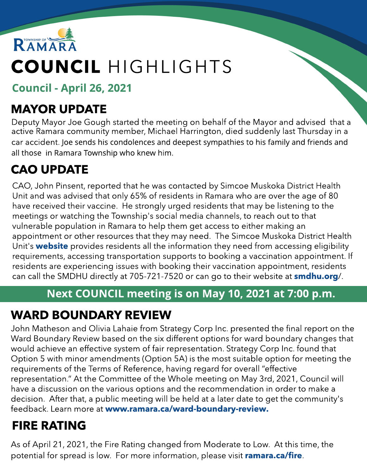

# COUNCIL HIGHLIGHTS

Council - April 26, 2021

### MAYOR UPDATE

Deputy Mayor Joe Gough started the meeting on behalf of the Mayor and advised that a active Ramara community member, Michael Harrington, died suddenly last Thursday in a car accident. Joe sends his condolences and deepest sympathies to his family and friends and all those in Ramara Township who knew him.

## CAO UPDATE

CAO, John Pinsent, reported that he was contacted by Simcoe Muskoka District Health Unit and was advised that only 65% of residents in Ramara who are over the age of 80 have received their vaccine. He strongly urged residents that may be listening to the meetings or watching the Township's social media channels, to reach out to that vulnerable population in Ramara to help them get access to either making an appointment or other resources that they may need. The Simcoe Muskoka District Health Unit's **w[ebsite](https://www.simcoemuskokahealth.org/)** provides residents all the information they need from accessing eligibility requirements, accessing transportation supports to booking a vaccination appointment. If residents are experiencing issues with booking their vaccination appointment, residents can call the SMDHU directly at 705-721-7520 or can go to their website at **[smdhu.org](https://www.simcoemuskokahealth.org/Topics/COVID-19/Vaccine-and-Immunization)**/.

#### Next COUNCIL meeting is on May 10, 2021 at 7:00 p.m.

### WARD BOUNDARY REVIEW

John Matheson and Olivia Lahaie from Strategy Corp Inc. presented the final report on the Ward Boundary Review based on the six different options for ward boundary changes that would achieve an effective system of fair representation. Strategy Corp Inc. found that Option 5 with minor amendments (Option 5A) is the most suitable option for meeting the requirements of the Terms of Reference, having regard for overall "effective representation." At the Committee of the Whole meeting on May 3rd, 2021, Council will have a discussion on the various options and the recommendation in order to make a decision. After that, a public meeting will be held at a later date to get the community's feedback. Learn more at www.ramara.ca/w[ard-boundary-review](http://www.ramara.ca/ward-boundary-review).

## FIRE RATING

As of April 21, 2021, the Fire Rating changed from Moderate to Low. At this time, the potential for spread is low. For more information, please visit [ramara.ca/fire](http://www.ramara.ca/fire).